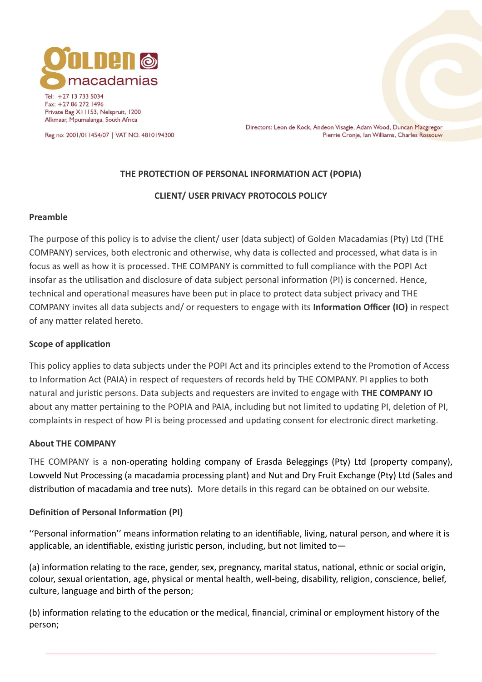

Tel: +27 13 733 5034 Fax: +27 86 272 1496 Private Bag X11153, Nelspruit, 1200 Alkmaar, Mpumalanga, South Africa

Reg no: 2001/011454/07 | VAT NO. 4810194300

Directors: Leon de Kock, Andeon Visagie, Adam Wood, Duncan Macgregor Pierrie Cronje, Ian Williams, Charles Rossouw

## **THE PROTECTION OF PERSONAL INFORMATION ACT (POPIA)**

## **CLIENT/ USER PRIVACY PROTOCOLS POLICY**

#### **Preamble**

The purpose of this policy is to advise the client/ user (data subject) of Golden Macadamias (Pty) Ltd (THE COMPANY) services, both electronic and otherwise, why data is collected and processed, what data is in focus as well as how it is processed. THE COMPANY is committed to full compliance with the POPI Act insofar as the utilisation and disclosure of data subject personal information (PI) is concerned. Hence, technical and operational measures have been put in place to protect data subject privacy and THE COMPANY invites all data subjects and/ or requesters to engage with its **Information Officer (IO)** in respect of any matter related hereto.

#### **Scope of application**

This policy applies to data subjects under the POPI Act and its principles extend to the Promotion of Access to Information Act (PAIA) in respect of requesters of records held by THE COMPANY. PI applies to both natural and juristic persons. Data subjects and requesters are invited to engage with **THE COMPANY IO** about any matter pertaining to the POPIA and PAIA, including but not limited to updating PI, deletion of PI, complaints in respect of how PI is being processed and updating consent for electronic direct marketing.

#### **About THE COMPANY**

THE COMPANY is a non-operating holding company of Erasda Beleggings (Pty) Ltd (property company), Lowveld Nut Processing (a macadamia processing plant) and Nut and Dry Fruit Exchange (Pty) Ltd (Sales and distribution of macadamia and tree nuts). More details in this regard can be obtained on our website.

## **Definition of Personal Information (PI)**

''Personal information'' means information relating to an identifiable, living, natural person, and where it is applicable, an identifiable, existing juristic person, including, but not limited to—

(a) information relating to the race, gender, sex, pregnancy, marital status, national, ethnic or social origin, colour, sexual orientation, age, physical or mental health, well-being, disability, religion, conscience, belief, culture, language and birth of the person;

(b) information relating to the education or the medical, financial, criminal or employment history of the person;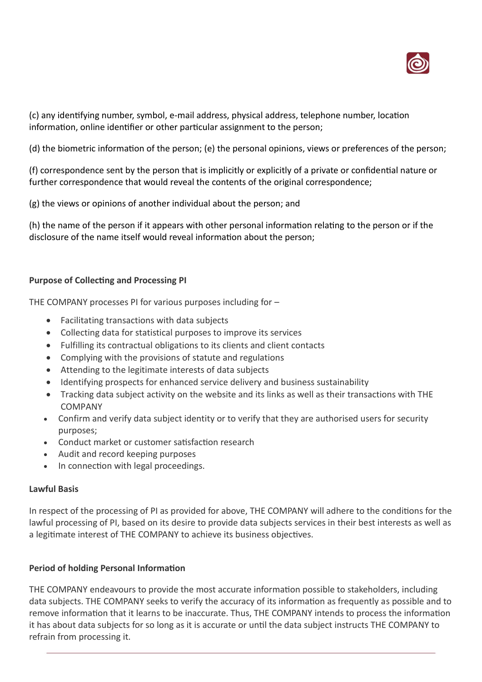

(c) any identifying number, symbol, e-mail address, physical address, telephone number, location information, online identifier or other particular assignment to the person;

(d) the biometric information of the person; (e) the personal opinions, views or preferences of the person;

(f) correspondence sent by the person that is implicitly or explicitly of a private or confidential nature or further correspondence that would reveal the contents of the original correspondence;

(g) the views or opinions of another individual about the person; and

(h) the name of the person if it appears with other personal information relating to the person or if the disclosure of the name itself would reveal information about the person;

# **Purpose of Collecting and Processing PI**

THE COMPANY processes PI for various purposes including for –

- Facilitating transactions with data subjects
- Collecting data for statistical purposes to improve its services
- Fulfilling its contractual obligations to its clients and client contacts
- Complying with the provisions of statute and regulations
- Attending to the legitimate interests of data subjects
- Identifying prospects for enhanced service delivery and business sustainability
- Tracking data subject activity on the website and its links as well as their transactions with THE COMPANY
- Confirm and verify data subject identity or to verify that they are authorised users for security purposes;
- Conduct market or customer satisfaction research
- Audit and record keeping purposes
- In connection with legal proceedings.

## **Lawful Basis**

In respect of the processing of PI as provided for above, THE COMPANY will adhere to the conditions for the lawful processing of PI, based on its desire to provide data subjects services in their best interests as well as a legitimate interest of THE COMPANY to achieve its business objectives.

## **Period of holding Personal Information**

THE COMPANY endeavours to provide the most accurate information possible to stakeholders, including data subjects. THE COMPANY seeks to verify the accuracy of its information as frequently as possible and to remove information that it learns to be inaccurate. Thus, THE COMPANY intends to process the information it has about data subjects for so long as it is accurate or until the data subject instructs THE COMPANY to refrain from processing it.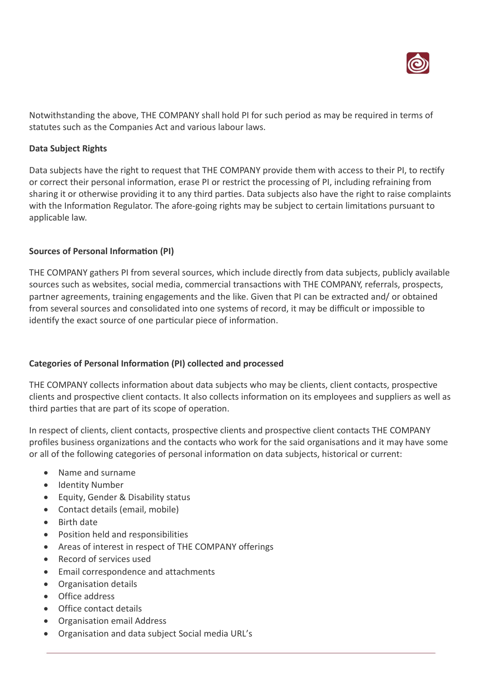

Notwithstanding the above, THE COMPANY shall hold PI for such period as may be required in terms of statutes such as the Companies Act and various labour laws.

#### **Data Subject Rights**

Data subjects have the right to request that THE COMPANY provide them with access to their PI, to rectify or correct their personal information, erase PI or restrict the processing of PI, including refraining from sharing it or otherwise providing it to any third parties. Data subjects also have the right to raise complaints with the Information Regulator. The afore-going rights may be subject to certain limitations pursuant to applicable law.

## **Sources of Personal Information (PI)**

THE COMPANY gathers PI from several sources, which include directly from data subjects, publicly available sources such as websites, social media, commercial transactions with THE COMPANY, referrals, prospects, partner agreements, training engagements and the like. Given that PI can be extracted and/ or obtained from several sources and consolidated into one systems of record, it may be difficult or impossible to identify the exact source of one particular piece of information.

## **Categories of Personal Information (PI) collected and processed**

THE COMPANY collects information about data subjects who may be clients, client contacts, prospective clients and prospective client contacts. It also collects information on its employees and suppliers as well as third parties that are part of its scope of operation.

In respect of clients, client contacts, prospective clients and prospective client contacts THE COMPANY profiles business organizations and the contacts who work for the said organisations and it may have some or all of the following categories of personal information on data subjects, historical or current:

- Name and surname
- Identity Number
- Equity, Gender & Disability status
- Contact details (email, mobile)
- Birth date
- Position held and responsibilities
- Areas of interest in respect of THE COMPANY offerings
- Record of services used
- Email correspondence and attachments
- Organisation details
- Office address
- Office contact details
- Organisation email Address
- Organisation and data subject Social media URL's